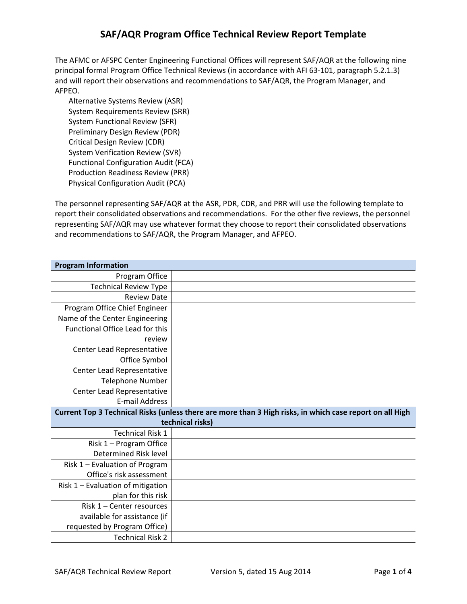The AFMC or AFSPC Center Engineering Functional Offices will represent SAF/AQR at the following nine principal formal Program Office Technical Reviews (in accordance with AFI 63-101, paragraph 5.2.1.3) and will report their observations and recommendations to SAF/AQR, the Program Manager, and AFPEO.

Alternative Systems Review (ASR) System Requirements Review (SRR) System Functional Review (SFR) Preliminary Design Review (PDR) Critical Design Review (CDR) System Verification Review (SVR) Functional Configuration Audit (FCA) Production Readiness Review (PRR) Physical Configuration Audit (PCA)

The personnel representing SAF/AQR at the ASR, PDR, CDR, and PRR will use the following template to report their consolidated observations and recommendations. For the other five reviews, the personnel representing SAF/AQR may use whatever format they choose to report their consolidated observations and recommendations to SAF/AQR, the Program Manager, and AFPEO.

| <b>Program Information</b>                                                                               |  |
|----------------------------------------------------------------------------------------------------------|--|
| Program Office                                                                                           |  |
| <b>Technical Review Type</b>                                                                             |  |
| <b>Review Date</b>                                                                                       |  |
| Program Office Chief Engineer                                                                            |  |
| Name of the Center Engineering                                                                           |  |
| <b>Functional Office Lead for this</b>                                                                   |  |
| review                                                                                                   |  |
| Center Lead Representative                                                                               |  |
| Office Symbol                                                                                            |  |
| Center Lead Representative                                                                               |  |
| <b>Telephone Number</b>                                                                                  |  |
| Center Lead Representative                                                                               |  |
| <b>E-mail Address</b>                                                                                    |  |
| Current Top 3 Technical Risks (unless there are more than 3 High risks, in which case report on all High |  |
| technical risks)                                                                                         |  |
| <b>Technical Risk 1</b>                                                                                  |  |
| Risk 1 - Program Office                                                                                  |  |
| Determined Risk level                                                                                    |  |
| Risk 1 - Evaluation of Program                                                                           |  |
| Office's risk assessment                                                                                 |  |
| Risk 1 - Evaluation of mitigation                                                                        |  |
| plan for this risk                                                                                       |  |
| Risk 1 – Center resources                                                                                |  |
| available for assistance (if                                                                             |  |
| requested by Program Office)                                                                             |  |
| <b>Technical Risk 2</b>                                                                                  |  |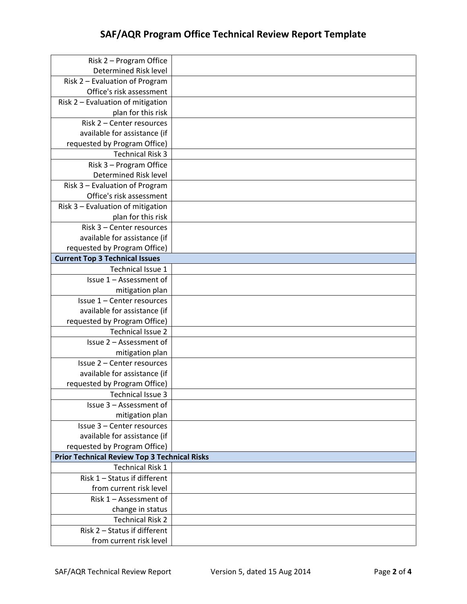| Risk 2 - Program Office                             |  |
|-----------------------------------------------------|--|
| Determined Risk level                               |  |
| Risk 2 - Evaluation of Program                      |  |
| Office's risk assessment                            |  |
| Risk 2 - Evaluation of mitigation                   |  |
| plan for this risk                                  |  |
| Risk 2 - Center resources                           |  |
| available for assistance (if                        |  |
| requested by Program Office)                        |  |
| <b>Technical Risk 3</b>                             |  |
| Risk 3 - Program Office                             |  |
| Determined Risk level                               |  |
| Risk 3 - Evaluation of Program                      |  |
| Office's risk assessment                            |  |
| Risk 3 - Evaluation of mitigation                   |  |
| plan for this risk                                  |  |
| Risk 3 - Center resources                           |  |
| available for assistance (if                        |  |
| requested by Program Office)                        |  |
| <b>Current Top 3 Technical Issues</b>               |  |
| Technical Issue 1                                   |  |
| Issue 1 - Assessment of                             |  |
| mitigation plan                                     |  |
| Issue 1 - Center resources                          |  |
| available for assistance (if                        |  |
| requested by Program Office)                        |  |
| <b>Technical Issue 2</b>                            |  |
| Issue 2 - Assessment of                             |  |
| mitigation plan                                     |  |
| Issue 2 - Center resources                          |  |
| available for assistance (if                        |  |
| requested by Program Office)                        |  |
| <b>Technical Issue 3</b>                            |  |
| Issue 3 - Assessment of                             |  |
| mitigation plan                                     |  |
| Issue 3 - Center resources                          |  |
| available for assistance (if                        |  |
| requested by Program Office)                        |  |
| <b>Prior Technical Review Top 3 Technical Risks</b> |  |
| <b>Technical Risk 1</b>                             |  |
| Risk 1 - Status if different                        |  |
| from current risk level                             |  |
| Risk 1 - Assessment of                              |  |
| change in status                                    |  |
| <b>Technical Risk 2</b>                             |  |
| Risk 2 - Status if different                        |  |
| from current risk level                             |  |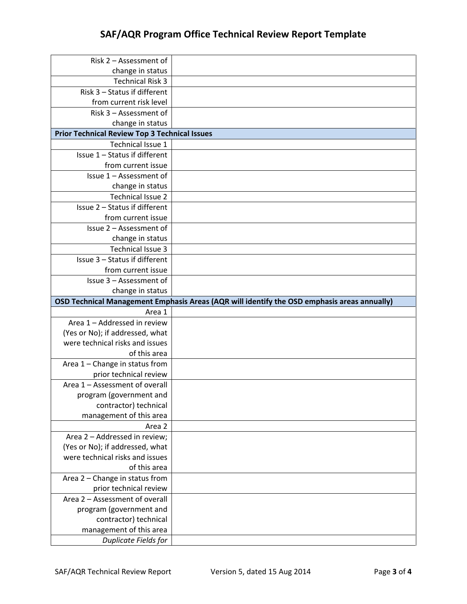| Risk 2 - Assessment of                                             |                                                                                             |
|--------------------------------------------------------------------|---------------------------------------------------------------------------------------------|
| change in status<br><b>Technical Risk 3</b>                        |                                                                                             |
| Risk 3 - Status if different                                       |                                                                                             |
| from current risk level                                            |                                                                                             |
| Risk 3 - Assessment of                                             |                                                                                             |
| change in status                                                   |                                                                                             |
| <b>Prior Technical Review Top 3 Technical Issues</b>               |                                                                                             |
| Technical Issue 1                                                  |                                                                                             |
| Issue 1 - Status if different                                      |                                                                                             |
| from current issue                                                 |                                                                                             |
| Issue 1 - Assessment of                                            |                                                                                             |
| change in status                                                   |                                                                                             |
| <b>Technical Issue 2</b>                                           |                                                                                             |
| Issue 2 - Status if different                                      |                                                                                             |
| from current issue                                                 |                                                                                             |
| Issue 2 - Assessment of                                            |                                                                                             |
| change in status                                                   |                                                                                             |
| Technical Issue 3                                                  |                                                                                             |
| Issue 3 - Status if different                                      |                                                                                             |
| from current issue                                                 |                                                                                             |
| Issue 3 - Assessment of                                            |                                                                                             |
| change in status                                                   |                                                                                             |
|                                                                    |                                                                                             |
|                                                                    | OSD Technical Management Emphasis Areas (AQR will identify the OSD emphasis areas annually) |
| Area 1                                                             |                                                                                             |
| Area 1 - Addressed in review                                       |                                                                                             |
| (Yes or No); if addressed, what                                    |                                                                                             |
| were technical risks and issues                                    |                                                                                             |
| of this area                                                       |                                                                                             |
| Area 1 - Change in status from                                     |                                                                                             |
| prior technical review                                             |                                                                                             |
| Area 1 - Assessment of overall                                     |                                                                                             |
| program (government and                                            |                                                                                             |
| contractor) technical                                              |                                                                                             |
| management of this area                                            |                                                                                             |
| Area 2                                                             |                                                                                             |
| Area 2 - Addressed in review;                                      |                                                                                             |
| (Yes or No); if addressed, what<br>were technical risks and issues |                                                                                             |
| of this area                                                       |                                                                                             |
| Area 2 - Change in status from                                     |                                                                                             |
| prior technical review                                             |                                                                                             |
| Area 2 - Assessment of overall                                     |                                                                                             |
| program (government and                                            |                                                                                             |
| contractor) technical                                              |                                                                                             |
| management of this area<br>Duplicate Fields for                    |                                                                                             |